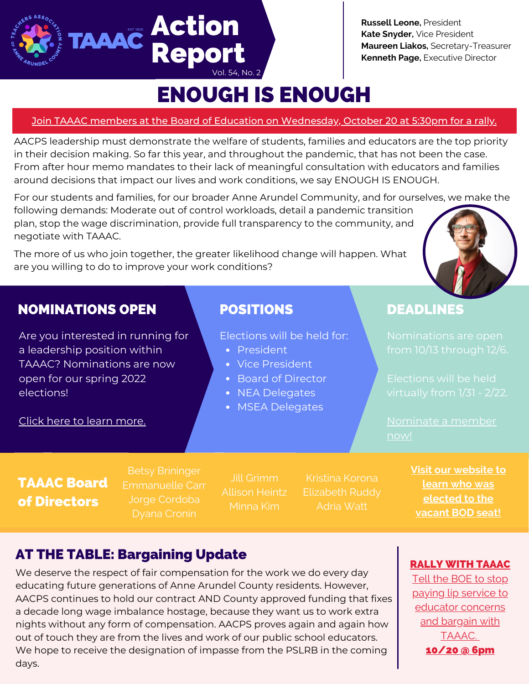**Russell Leone,** President **Kate Snyder,** Vice President **Maureen Liakos,** Secretary-Treasurer **Kenneth Page,** Executive Director

# ENOUGH IS ENOUGH

Vol. 54, No. 2

TAAAC Action

Repor

### Join TAAAC members at the Board of Education on [Wednesday,](https://secure.ngpvan.com/tE6QLNd-AkWZWeiLZQ6H6w2) October 20 at 5:30pm for a rally.

AACPS leadership must demonstrate the welfare of students, families and educators are the top priority in their decision making. So far this year, and throughout the pandemic, that has not been the case. From after hour memo mandates to their lack of meaningful consultation with educators and families around decisions that impact our lives and work conditions, we say ENOUGH IS ENOUGH.

For our students and families, for our broader Anne Arundel Community, and for ourselves, we make the following demands: Moderate out of control workloads, detail a pandemic transition plan, stop the wage discrimination, provide full transparency to the community, and negotiate with TAAAC.

The more of us who join together, the greater likelihood change will happen. What are you willing to do to improve your work conditions?

## NOMINATIONS OPEN POSITIONS DEADLINES

Are you interested in running for a leadership position within TAAAC? Nominations are now open for our spring 2022 elections!

Elections will be held for: Nominations are open

- President
- Vice President
- Board of Director
- NEA Delegates
- MSEA Delegates

[Nominate](https://taaaconline.org/nominations-open-bod/) a member

# Click here to learn [more.](https://taaaconline.org/nominations-open-bod/)

## TAAAC Board of Directors

Betsy Brininger Emmanuelle Carr Jorge Cordoba

Allison Heintz Minna Kim

Elizabeth Ruddy

**Visit our [website](https://taaaconline.org/board-of-directors/) to learn who was elected to the vacant BOD seat!**

# AT THE TABLE: Bargaining Update

We deserve the respect of fair compensation for the work we do every day educating future generations of Anne Arundel County residents. However, AACPS continues to hold our contract AND County approved funding that fixes a decade long wage imbalance hostage, because they want us to work extra nights without any form of compensation. AACPS proves again and again how out of touch they are from the lives and work of our public school educators. We hope to receive the designation of impasse from the PSLRB in the coming days.

### RALLY WITH [TAAAC](https://secure.ngpvan.com/tE6QLNd-AkWZWeiLZQ6H6w2)

Tell the BOE to stop paying lip service to educator [concerns](https://secure.ngpvan.com/tE6QLNd-AkWZWeiLZQ6H6w2) and bargain with TAAAC[.](https://secure.ngpvan.com/tE6QLNd-AkWZWeiLZQ6H6w2) [10/20](https://secure.ngpvan.com/tE6QLNd-AkWZWeiLZQ6H6w2) @ 6pm